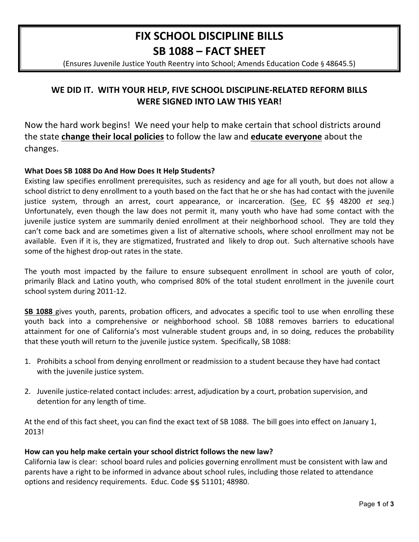# **FIX SCHOOL DISCIPLINE BILLS** SB 1088 - FACT SHEET

(Ensures Juvenile Justice Youth Reentry into School; Amends Education Code § 48645.5)

# WE DID IT. WITH YOUR HELP, FIVE SCHOOL DISCIPLINE-RELATED REFORM BILLS **WERE SIGNED INTO LAW THIS YEAR!**

Now the hard work begins! We need your help to make certain that school districts around the state change their local policies to follow the law and educate everyone about the changes.

## What Does SB 1088 Do And How Does It Help Students?

Existing law specifies enrollment prerequisites, such as residency and age for all youth, but does not allow a school district to deny enrollment to a youth based on the fact that he or she has had contact with the juvenile justice system, through an arrest, court appearance, or incarceration. (See, EC §§ 48200 et seq.) Unfortunately, even though the law does not permit it, many youth who have had some contact with the juvenile justice system are summarily denied enrollment at their neighborhood school. They are told they can't come back and are sometimes given a list of alternative schools, where school enrollment may not be available. Even if it is, they are stigmatized, frustrated and likely to drop out. Such alternative schools have some of the highest drop-out rates in the state.

The youth most impacted by the failure to ensure subsequent enrollment in school are youth of color, primarily Black and Latino youth, who comprised 80% of the total student enrollment in the juvenile court school system during 2011-12.

SB 1088 gives youth, parents, probation officers, and advocates a specific tool to use when enrolling these youth back into a comprehensive or neighborhood school. SB 1088 removes barriers to educational attainment for one of California's most vulnerable student groups and, in so doing, reduces the probability that these youth will return to the juvenile justice system. Specifically, SB 1088:

- 1. Prohibits a school from denying enrollment or readmission to a student because they have had contact with the juvenile justice system.
- 2. Juvenile justice-related contact includes: arrest, adjudication by a court, probation supervision, and detention for any length of time.

At the end of this fact sheet, you can find the exact text of SB 1088. The bill goes into effect on January 1, 20131

#### How can you help make certain your school district follows the new law?

California law is clear: school board rules and policies governing enrollment must be consistent with law and parents have a right to be informed in advance about school rules, including those related to attendance options and residency requirements. Educ. Code § § 51101; 48980.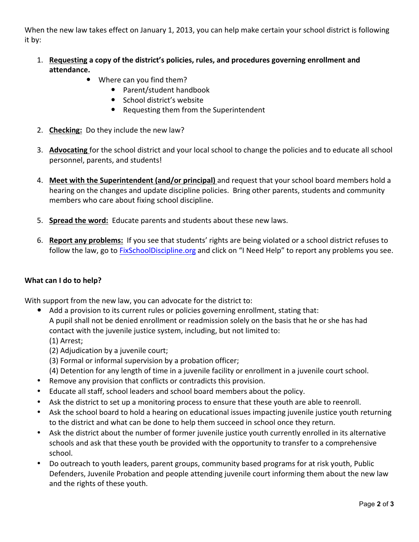When the new law takes effect on January 1, 2013, you can help make certain your school district is following it by:

- 1. Requesting a copy of the district's policies, rules, and procedures governing enrollment and **attendance.**
	- Where can you find them?
		- Parent/student handbook
		- School district's website
		- Requesting them from the Superintendent
- 2. **Checking:** Do they include the new law?
- 3. Advocating for the school district and your local school to change the policies and to educate all school personnel, parents, and students!
- 4. Meet with the Superintendent (and/or principal) and request that your school board members hold a hearing on the changes and update discipline policies. Bring other parents, students and community members who care about fixing school discipline.
- 5. **Spread the word:** Educate parents and students about these new laws.
- 6. Report any problems: If you see that students' rights are being violated or a school district refuses to follow the law, go to FixSchoolDiscipline.org and click on "I Need Help" to report any problems you see.

#### **What can I do to help?**

With support from the new law, you can advocate for the district to:

- Add a provision to its current rules or policies governing enrollment, stating that: A pupil shall not be denied enrollment or readmission solely on the basis that he or she has had contact with the juvenile justice system, including, but not limited to:
	- $(1)$  Arrest;
	- (2) Adjudication by a juvenile court;
	- (3) Formal or informal supervision by a probation officer;
	- (4) Detention for any length of time in a juvenile facility or enrollment in a juvenile court school.
- Remove any provision that conflicts or contradicts this provision.
- Educate all staff, school leaders and school board members about the policy.
- Ask the district to set up a monitoring process to ensure that these youth are able to reenroll.
- Ask the school board to hold a hearing on educational issues impacting juvenile justice youth returning to the district and what can be done to help them succeed in school once they return.
- Ask the district about the number of former juvenile justice youth currently enrolled in its alternative schools and ask that these youth be provided with the opportunity to transfer to a comprehensive school.
- Do outreach to youth leaders, parent groups, community based programs for at risk youth, Public Defenders, Juvenile Probation and people attending juvenile court informing them about the new law and the rights of these youth.